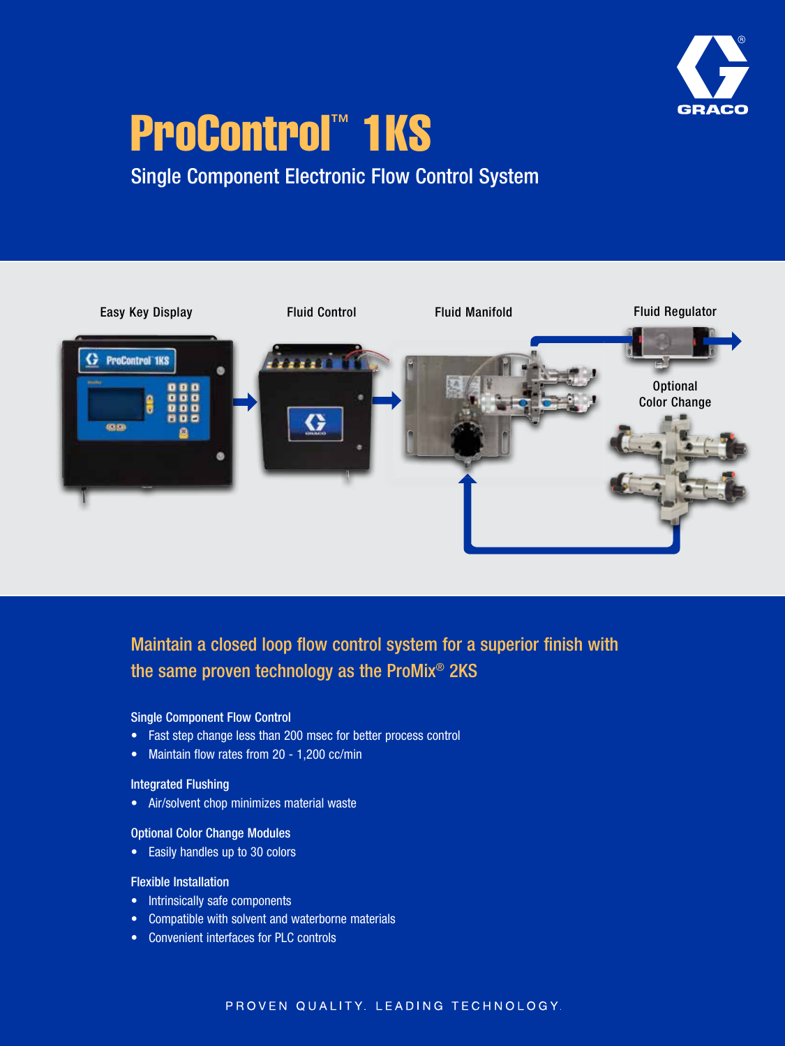

# ProControl™ 1KS

# Single Component Electronic Flow Control System



## Maintain a closed loop flow control system for a superior finish with the same proven technology as the ProMix® 2KS

#### Single Component Flow Control

- Fast step change less than 200 msec for better process control
- Maintain flow rates from 20 1,200 cc/min

#### Integrated Flushing

• Air/solvent chop minimizes material waste

#### Optional Color Change Modules

• Easily handles up to 30 colors

#### Flexible Installation

- Intrinsically safe components
- Compatible with solvent and waterborne materials
- Convenient interfaces for PLC controls

#### PROVEN QUALITY. LEADING TECHNOLOGY.